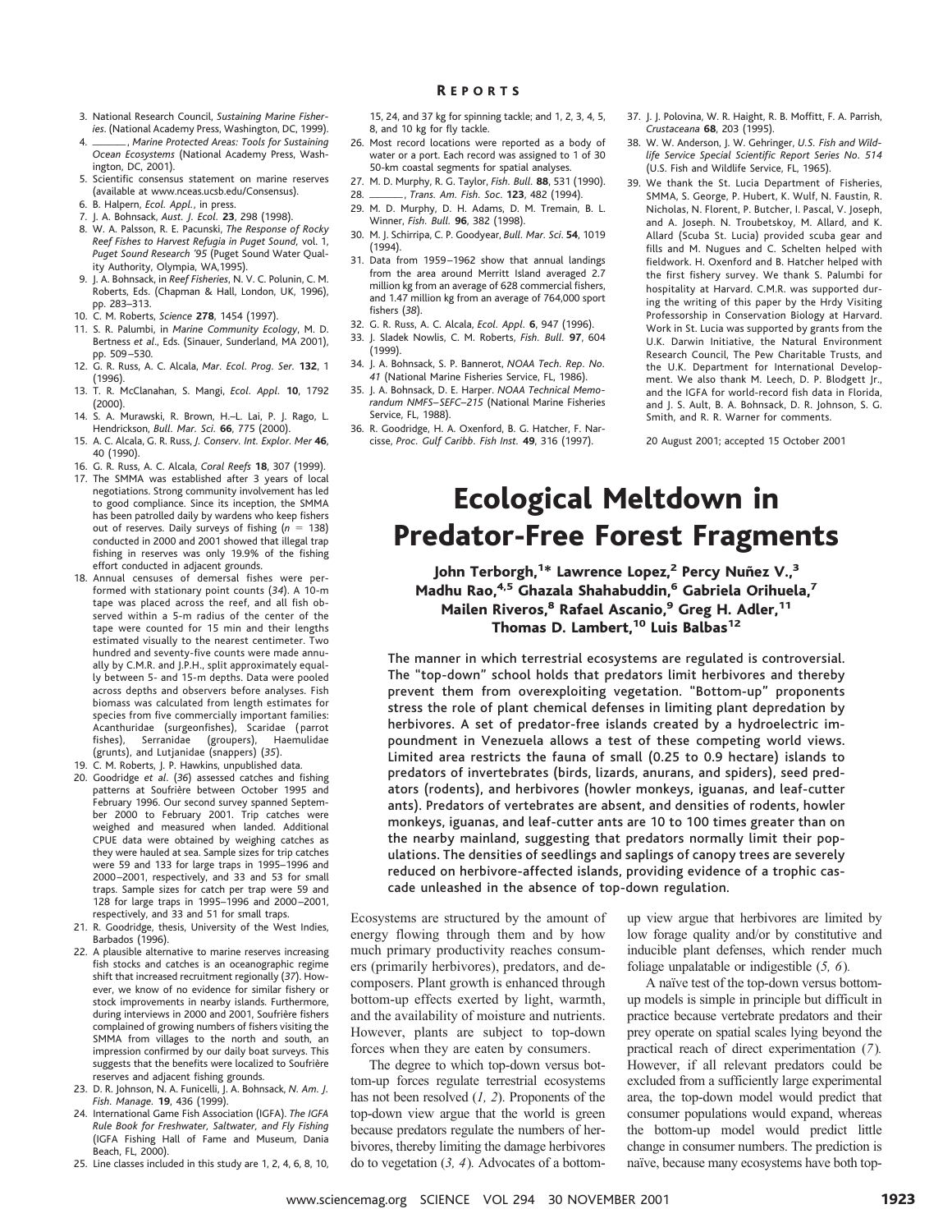- 3. National Research Council, *Sustaining Marine Fisheries*. (National Academy Press, Washington, DC, 1999).
- 4. \_\_\_\_\_\_\_, Marine Protected Areas: Tools for Sustaining *Ocean Ecosystems* (National Academy Press, Washington, DC, 2001).
- 5. Scientific consensus statement on marine reserves (available at www.nceas.ucsb.edu/Consensus).
- 6. B. Halpern, *Ecol. Appl.*, in press.
- 7. J. A. Bohnsack, *Aust. J. Ecol.* **23**, 298 (1998).
- 8. W. A. Palsson, R. E. Pacunski, *The Response of Rocky Reef Fishes to Harvest Refugia in Puget Sound,* vol. 1, *Puget Sound Research '95* (Puget Sound Water Quality Authority, Olympia, WA,1995).
- 9. J. A. Bohnsack, in *Reef Fisheries*, N. V. C. Polunin, C. M. Roberts, Eds. (Chapman & Hall, London, UK, 1996), pp. 283–313.
- 10. C. M. Roberts, *Science* **278**, 1454 (1997).
- 11. S. R. Palumbi, in *Marine Community Ecology*, M. D. Bertness *et al*., Eds. (Sinauer, Sunderland, MA 2001), pp. 509–530.
- 12. G. R. Russ, A. C. Alcala, *Mar. Ecol. Prog. Ser.* **132**, 1 (1996).
- 13. T. R. McClanahan, S. Mangi, *Ecol. Appl.* **10**, 1792 (2000).
- 14. S. A. Murawski, R. Brown, H.–L. Lai, P. J. Rago, L. Hendrickson, *Bull. Mar. Sci.* **66**, 775 (2000).
- 15. A. C. Alcala, G. R. Russ, *J. Conserv. Int. Explor. Mer* **46**, 40 (1990).
- 16. G. R. Russ, A. C. Alcala, *Coral Reefs* **18**, 307 (1999).
- 17. The SMMA was established after 3 years of local negotiations. Strong community involvement has led to good compliance. Since its inception, the SMMA has been patrolled daily by wardens who keep fishers out of reserves. Daily surveys of fishing (n = 138) conducted in 2000 and 2001 showed that illegal trap fishing in reserves was only 19.9% of the fishing effort conducted in adjacent grounds.
- 18. Annual censuses of demersal fishes were performed with stationary point counts (*34*). A 10-m tape was placed across the reef, and all fish observed within a 5-m radius of the center of the tape were counted for 15 min and their lengths estimated visually to the nearest centimeter. Two hundred and seventy-five counts were made annually by C.M.R. and J.P.H., split approximately equally between 5- and 15-m depths. Data were pooled across depths and observers before analyses. Fish biomass was calculated from length estimates for species from five commercially important families: Acanthuridae (surgeonfishes), Scaridae (parrot<br>fishes), Serranidae (groupers), Haemulidae fishes), Serranidae (groupers), Haemulidae (grunts), and Lutjanidae (snappers) (*35*).
- 19. C. M. Roberts, J. P. Hawkins, unpublished data.
- 20. Goodridge *et al*. (*36*) assessed catches and fishing patterns at Soufrière between October 1995 and February 1996. Our second survey spanned September 2000 to February 2001. Trip catches were weighed and measured when landed. Additional CPUE data were obtained by weighing catches as they were hauled at sea. Sample sizes for trip catches were 59 and 133 for large traps in 1995–1996 and 2000–2001, respectively, and 33 and 53 for small traps. Sample sizes for catch per trap were 59 and 128 for large traps in 1995–1996 and 2000–2001, respectively, and 33 and 51 for small traps.
- 21. R. Goodridge, thesis, University of the West Indies, Barbados (1996).
- 22. A plausible alternative to marine reserves increasing fish stocks and catches is an oceanographic regime shift that increased recruitment regionally (*37*). However, we know of no evidence for similar fishery or stock improvements in nearby islands. Furthermore, during interviews in 2000 and 2001, Soufrière fishers complained of growing numbers of fishers visiting the SMMA from villages to the north and south, an impression confirmed by our daily boat surveys. This suggests that the benefits were localized to Soufrière reserves and adjacent fishing grounds.
- 23. D. R. Johnson, N. A. Funicelli, J. A. Bohnsack, *N. Am. J. Fish. Manage.* **19**, 436 (1999).
- 24. International Game Fish Association (IGFA). *The IGFA Rule Book for Freshwater, Saltwater, and Fly Fishing* (IGFA Fishing Hall of Fame and Museum, Dania Beach, FL, 2000).
- 25. Line classes included in this study are 1, 2, 4, 6, 8, 10,

R EPORTS

- 26. Most record locations were reported as a body of water or a port. Each record was assigned to 1 of 30
- 50-km coastal segments for spatial analyses. 27. M. D. Murphy, R. G. Taylor, *Fish. Bull.* **88**, 531 (1990).
- 28. iiii, *Trans. Am. Fish. Soc*. **<sup>123</sup>**, 482 (1994).
- 29. M. D. Murphy, D. H. Adams, D. M. Tremain, B. L. Winner, *Fish. Bull.* **96**, 382 (1998).
- 30. M. J. Schirripa, C. P. Goodyear, *Bull. Mar. Sci*. **54**, 1019 (1994).
- 31. Data from 1959–1962 show that annual landings from the area around Merritt Island averaged 2.7 million kg from an average of 628 commercial fishers, and 1.47 million kg from an average of 764,000 sport fishers (*38*).
- 32. G. R. Russ, A. C. Alcala, *Ecol. Appl.* **6**, 947 (1996).
- 33. J. Sladek Nowlis, C. M. Roberts, *Fish. Bull.* **97**, 604 (1999).
- 34. J. A. Bohnsack, S. P. Bannerot, *NOAA Tech. Rep. No. 41* (National Marine Fisheries Service, FL, 1986).
- 35. J. A. Bohnsack, D. E. Harper. *NOAA Technical Memorandum NMFS–SEFC–215* (National Marine Fisheries Service, FL, 1988).
- 36. R. Goodridge, H. A. Oxenford, B. G. Hatcher, F. Narcisse, *Proc. Gulf Caribb. Fish Inst.* **49**, 316 (1997).
- 37. J. J. Polovina, W. R. Haight, R. B. Moffitt, F. A. Parrish, *Crustaceana* **68**, 203 (1995).
- 38. W. W. Anderson, J. W. Gehringer, *U.S. Fish and Wildlife Service Special Scientific Report Series No. 514* (U.S. Fish and Wildlife Service, FL, 1965).
- 39. We thank the St. Lucia Department of Fisheries, SMMA, S. George, P. Hubert, K. Wulf, N. Faustin, R. Nicholas, N. Florent, P. Butcher, I. Pascal, V. Joseph, and A. Joseph. N. Troubetskoy, M. Allard, and K. Allard (Scuba St. Lucia) provided scuba gear and fills and M. Nugues and C. Schelten helped with fieldwork. H. Oxenford and B. Hatcher helped with the first fishery survey. We thank S. Palumbi for hospitality at Harvard. C.M.R. was supported during the writing of this paper by the Hrdy Visiting Professorship in Conservation Biology at Harvard. Work in St. Lucia was supported by grants from the U.K. Darwin Initiative, the Natural Environment Research Council, The Pew Charitable Trusts, and the U.K. Department for International Development. We also thank M. Leech, D. P. Blodgett Jr., and the IGFA for world-record fish data in Florida, and J. S. Ault, B. A. Bohnsack, D. R. Johnson, S. G. Smith, and R. R. Warner for comments.

20 August 2001; accepted 15 October 2001

## Ecological Meltdown in Predator-Free Forest Fragments

John Terborgh,<sup>1\*</sup> Lawrence Lopez,<sup>2</sup> Percy Nuñez V.,<sup>3</sup> Madhu Rao,<sup>4,5</sup> Ghazala Shahabuddin,<sup>6</sup> Gabriela Orihuela,7 Mailen Riveros,<sup>8</sup> Rafael Ascanio,<sup>9</sup> Greg H. Adler,<sup>11</sup> Thomas D. Lambert,<sup>10</sup> Luis Balbas<sup>12</sup>

The manner in which terrestrial ecosystems are regulated is controversial. The "top-down" school holds that predators limit herbivores and thereby prevent them from overexploiting vegetation. "Bottom-up" proponents stress the role of plant chemical defenses in limiting plant depredation by herbivores. A set of predator-free islands created by a hydroelectric impoundment in Venezuela allows a test of these competing world views. Limited area restricts the fauna of small (0.25 to 0.9 hectare) islands to predators of invertebrates (birds, lizards, anurans, and spiders), seed predators (rodents), and herbivores (howler monkeys, iguanas, and leaf-cutter ants). Predators of vertebrates are absent, and densities of rodents, howler monkeys, iguanas, and leaf-cutter ants are 10 to 100 times greater than on the nearby mainland, suggesting that predators normally limit their populations. The densities of seedlings and saplings of canopy trees are severely reduced on herbivore-affected islands, providing evidence of a trophic cascade unleashed in the absence of top-down regulation.

Ecosystems are structured by the amount of energy flowing through them and by how much primary productivity reaches consumers (primarily herbivores), predators, and decomposers. Plant growth is enhanced through bottom-up effects exerted by light, warmth, and the availability of moisture and nutrients. However, plants are subject to top-down forces when they are eaten by consumers.

The degree to which top-down versus bottom-up forces regulate terrestrial ecosystems has not been resolved (*1, 2*). Proponents of the top-down view argue that the world is green because predators regulate the numbers of herbivores, thereby limiting the damage herbivores do to vegetation (*3, 4*)*.* Advocates of a bottom-

up view argue that herbivores are limited by low forage quality and/or by constitutive and inducible plant defenses, which render much foliage unpalatable or indigestible (*5, 6*)*.*

A naïve test of the top-down versus bottomup models is simple in principle but difficult in practice because vertebrate predators and their prey operate on spatial scales lying beyond the practical reach of direct experimentation (*7*)*.* However, if all relevant predators could be excluded from a sufficiently large experimental area, the top-down model would predict that consumer populations would expand, whereas the bottom-up model would predict little change in consumer numbers. The prediction is naïve, because many ecosystems have both top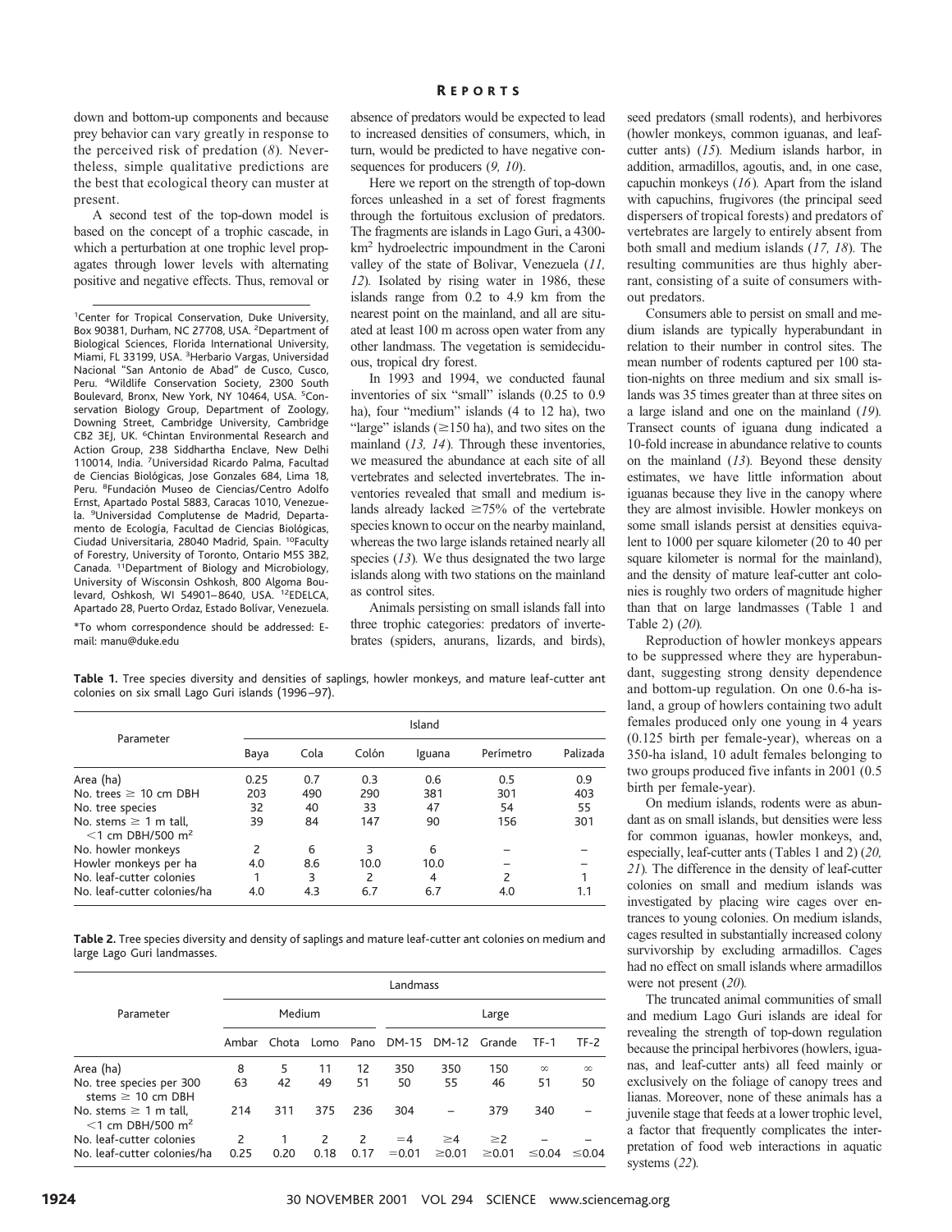down and bottom-up components and because prey behavior can vary greatly in response to the perceived risk of predation (*8*)*.* Nevertheless, simple qualitative predictions are the best that ecological theory can muster at present.

A second test of the top-down model is based on the concept of a trophic cascade, in which a perturbation at one trophic level propagates through lower levels with alternating positive and negative effects. Thus, removal or

<sup>1</sup>Center for Tropical Conservation, Duke University, Box 90381, Durham, NC 27708, USA. <sup>2</sup> Department of Biological Sciences, Florida International University, Miami, FL 33199, USA. <sup>3</sup>Herbario Vargas, Universidad Nacional "San Antonio de Abad" de Cusco, Cusco, Peru. <sup>4</sup>Wildlife Conservation Society, 2300 South Boulevard, Bronx, New York, NY 10464, USA. <sup>5</sup>Conservation Biology Group, Department of Zoology, Downing Street, Cambridge University, Cambridge CB2 3EJ, UK. <sup>6</sup>Chintan Environmental Research and Action Group, 238 Siddhartha Enclave, New Delhi 110014, India. <sup>7</sup>Universidad Ricardo Palma, Facultad de Ciencias Biológicas, Jose Gonzales 684, Lima 18, Peru. <sup>8</sup>Fundación Museo de Ciencias/Centro Adolfo Ernst, Apartado Postal 5883, Caracas 1010, Venezuela. <sup>9</sup>Universidad Complutense de Madrid, Departamento de Ecología, Facultad de Ciencias Biológicas, Ciudad Universitaria, 28040 Madrid, Spain. 10Faculty of Forestry, University of Toronto, Ontario M5S 3B2, Canada. 11Department of Biology and Microbiology, University of Wisconsin Oshkosh, 800 Algoma Boulevard, Oshkosh, WI 54901–8640, USA. 12EDELCA, Apartado 28, Puerto Ordaz, Estado Bolívar, Venezuela.

\*To whom correspondence should be addressed: Email: manu@duke.edu

absence of predators would be expected to lead to increased densities of consumers, which, in turn, would be predicted to have negative consequences for producers (*9, 10*).

Here we report on the strength of top-down forces unleashed in a set of forest fragments through the fortuitous exclusion of predators. The fragments are islands in Lago Guri, a 4300 km2 hydroelectric impoundment in the Caroni valley of the state of Bolivar, Venezuela (*11, 12*)*.* Isolated by rising water in 1986, these islands range from 0.2 to 4.9 km from the nearest point on the mainland, and all are situated at least 100 m across open water from any other landmass. The vegetation is semideciduous, tropical dry forest.

In 1993 and 1994, we conducted faunal inventories of six "small" islands (0.25 to 0.9 ha), four "medium" islands (4 to 12 ha), two "large" islands ( $\geq$ 150 ha), and two sites on the mainland (*13, 14*)*.* Through these inventories, we measured the abundance at each site of all vertebrates and selected invertebrates. The inventories revealed that small and medium islands already lacked  $\geq 75\%$  of the vertebrate species known to occur on the nearby mainland, whereas the two large islands retained nearly all species (*13*)*.* We thus designated the two large islands along with two stations on the mainland as control sites.

Animals persisting on small islands fall into three trophic categories: predators of invertebrates (spiders, anurans, lizards, and birds),

seed predators (small rodents), and herbivores (howler monkeys, common iguanas, and leafcutter ants) (*15*)*.* Medium islands harbor, in addition, armadillos, agoutis, and, in one case, capuchin monkeys (*16*)*.* Apart from the island with capuchins, frugivores (the principal seed dispersers of tropical forests) and predators of vertebrates are largely to entirely absent from both small and medium islands (*17, 18*)*.* The resulting communities are thus highly aberrant, consisting of a suite of consumers without predators.

Consumers able to persist on small and medium islands are typically hyperabundant in relation to their number in control sites. The mean number of rodents captured per 100 station-nights on three medium and six small islands was 35 times greater than at three sites on a large island and one on the mainland (*19*)*.* Transect counts of iguana dung indicated a 10-fold increase in abundance relative to counts on the mainland (*13*)*.* Beyond these density estimates, we have little information about iguanas because they live in the canopy where they are almost invisible. Howler monkeys on some small islands persist at densities equivalent to 1000 per square kilometer (20 to 40 per square kilometer is normal for the mainland), and the density of mature leaf-cutter ant colonies is roughly two orders of magnitude higher than that on large landmasses (Table 1 and Table 2) (*20*)*.*

Reproduction of howler monkeys appears to be suppressed where they are hyperabundant, suggesting strong density dependence and bottom-up regulation. On one 0.6-ha island, a group of howlers containing two adult females produced only one young in 4 years (0.125 birth per female-year), whereas on a 350-ha island, 10 adult females belonging to two groups produced five infants in 2001 (0.5 birth per female-year).

On medium islands, rodents were as abundant as on small islands, but densities were less for common iguanas, howler monkeys, and, especially, leaf-cutter ants (Tables 1 and 2) (*20, 21*)*.* The difference in the density of leaf-cutter colonies on small and medium islands was investigated by placing wire cages over entrances to young colonies. On medium islands, cages resulted in substantially increased colony survivorship by excluding armadillos. Cages had no effect on small islands where armadillos were not present (*20*)*.*

The truncated animal communities of small and medium Lago Guri islands are ideal for revealing the strength of top-down regulation because the principal herbivores (howlers, iguanas, and leaf-cutter ants) all feed mainly or exclusively on the foliage of canopy trees and lianas. Moreover, none of these animals has a juvenile stage that feeds at a lower trophic level, a factor that frequently complicates the interpretation of food web interactions in aquatic systems (*22*)*.*

**Table 1.** Tree species diversity and densities of saplings, howler monkeys, and mature leaf-cutter ant colonies on six small Lago Guri islands (1996–97).

| Parameter                                                     | Island |      |       |        |           |          |  |  |  |
|---------------------------------------------------------------|--------|------|-------|--------|-----------|----------|--|--|--|
|                                                               | Baya   | Cola | Colón | Iguana | Perímetro | Palizada |  |  |  |
| Area (ha)                                                     | 0.25   | 0.7  | 0.3   | 0.6    | 0.5       | 0.9      |  |  |  |
| No. trees $\geq$ 10 cm DBH                                    | 203    | 490  | 290   | 381    | 301       | 403      |  |  |  |
| No. tree species                                              | 32     | 40   | 33    | 47     | 54        | 55       |  |  |  |
| No. stems $\geq 1$ m tall,<br>$<$ 1 cm DBH/500 m <sup>2</sup> | 39     | 84   | 147   | 90     | 156       | 301      |  |  |  |
| No. howler monkeys                                            | 2      | 6    | 3     | 6      |           |          |  |  |  |
| Howler monkeys per ha                                         | 4.0    | 8.6  | 10.0  | 10.0   |           |          |  |  |  |
| No. leaf-cutter colonies                                      |        | 3    | 2     | 4      | 2         |          |  |  |  |
| No. leaf-cutter colonies/ha                                   | 4.0    | 4.3  | 6.7   | 6.7    | 4.0       |          |  |  |  |

**Table 2.** Tree species diversity and density of saplings and mature leaf-cutter ant colonies on medium and large Lago Guri landmasses.

|                                                               | Landmass |       |           |      |          |              |             |             |             |  |
|---------------------------------------------------------------|----------|-------|-----------|------|----------|--------------|-------------|-------------|-------------|--|
| Parameter                                                     | Medium   |       |           |      | Large    |              |             |             |             |  |
|                                                               | Ambar    | Chota | Lomo Pano |      | DM-15    | DM-12 Grande |             | <b>TF-1</b> | $TF-2$      |  |
| Area (ha)                                                     | 8        | 5     | 11        | 12   | 350      | 350          | 150         | $\infty$    | $\infty$    |  |
| No. tree species per 300<br>stems $\geq 10$ cm DBH            | 63       | 42    | 49        | 51   | 50       | 55           | 46          | 51          | 50          |  |
| No. stems $\geq 1$ m tall.<br>$<$ 1 cm DBH/500 m <sup>2</sup> | 214      | 311   | 375       | 236  | 304      |              | 379         | 340         |             |  |
| No. leaf-cutter colonies                                      | 2        |       | 2         | 2    | $=4$     | $\geq 4$     | $\geq$ 2    |             |             |  |
| No. leaf-cutter colonies/ha                                   | 0.25     | 0.20  | 0.18      | 0.17 | $= 0.01$ | $\geq 0.01$  | $\geq 0.01$ | $\leq 0.04$ | $\leq 0.04$ |  |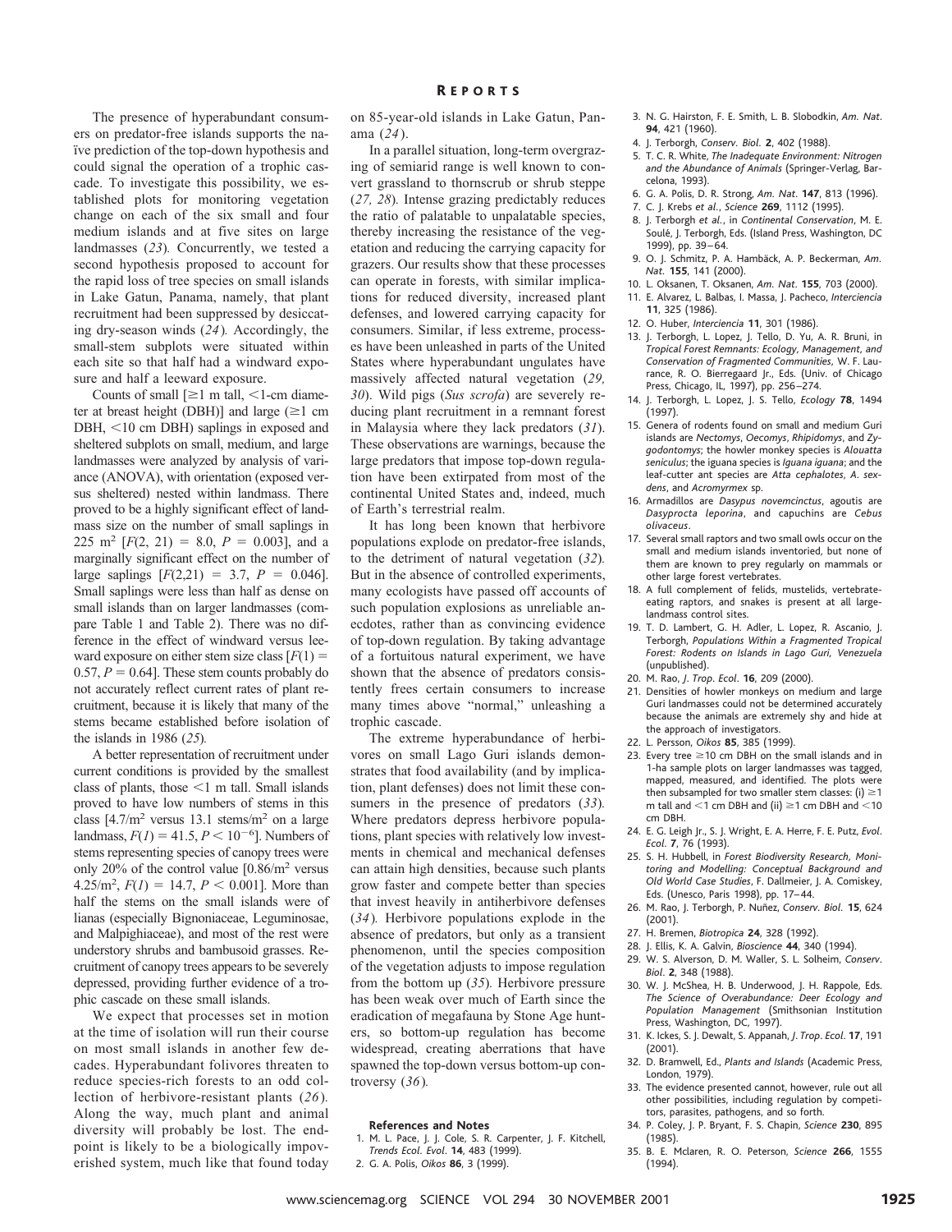The presence of hyperabundant consumers on predator-free islands supports the na ïve prediction of the top-down hypothesis and could signal the operation of a trophic cascade. To investigate this possibility, we established plots for monitoring vegetation change on each of the six small and four medium islands and at five sites on large landmasses (*23*)*.* Concurrently, we tested a second hypothesis proposed to account for the rapid loss of tree species on small islands in Lake Gatun, Panama, namely, that plant recruitment had been suppressed by desiccating dry-season winds (*24*)*.* Accordingly, the small-stem subplots were situated within each site so that half had a windward exposure and half a leeward exposure.

Counts of small  $[\geq 1 \text{ m tall}, \leq 1\text{-cm}$  diameter at breast height (DBH)] and large  $(\geq 1 \text{ cm})$ DBH, <10 cm DBH) saplings in exposed and sheltered subplots on small, medium, and large landmasses were analyzed by analysis of variance (ANOVA), with orientation (exposed versus sheltered) nested within landmass. There proved to be a highly significant effect of landmass size on the number of small saplings in 225 m<sup>2</sup> [ $F(2, 21) = 8.0, P = 0.003$ ], and a marginally significant effect on the number of large saplings  $[F(2,21) = 3.7, P = 0.046]$ . Small saplings were less than half as dense on small islands than on larger landmasses (compare Table 1 and Table 2). There was no difference in the effect of windward versus leeward exposure on either stem size class  $[F(1)] =$  $0.57, P = 0.64$ . These stem counts probably do not accurately reflect current rates of plant recruitment, because it is likely that many of the stems became established before isolation of the islands in 1986 (*25*)*.*

A better representation of recruitment under current conditions is provided by the smallest class of plants, those  $\leq 1$  m tall. Small islands proved to have low numbers of stems in this class  $[4.7/m^2$  versus 13.1 stems/m<sup>2</sup> on a large landmass,  $F(1) = 41.5, P < 10^{-6}$ . Numbers of stems representing species of canopy trees were only 20% of the control value  $[0.86/m^2$  versus  $4.25/m^2$ ,  $F(1) = 14.7$ ,  $P < 0.001$ ]. More than half the stems on the small islands were of lianas (especially Bignoniaceae, Leguminosae, and Malpighiaceae), and most of the rest were understory shrubs and bambusoid grasses. Recruitment of canopy trees appears to be severely depressed, providing further evidence of a trophic cascade on these small islands.

We expect that processes set in motion at the time of isolation will run their course on most small islands in another few decades. Hyperabundant folivores threaten to reduce species-rich forests to an odd collection of herbivore-resistant plants (*26*)*.* Along the way, much plant and animal diversity will probably be lost. The endpoint is likely to be a biologically impoverished system, much like that found today

on 85-year-old islands in Lake Gatun, Panama (*24*).

In a parallel situation, long-term overgrazing of semiarid range is well known to convert grassland to thornscrub or shrub steppe (*27, 28*)*.* Intense grazing predictably reduces the ratio of palatable to unpalatable species, thereby increasing the resistance of the vegetation and reducing the carrying capacity for grazers. Our results show that these processes can operate in forests, with similar implications for reduced diversity, increased plant defenses, and lowered carrying capacity for consumers. Similar, if less extreme, processes have been unleashed in parts of the United States where hyperabundant ungulates have massively affected natural vegetation (*29, 30*). Wild pigs (*Sus scrofa*) are severely reducing plant recruitment in a remnant forest in Malaysia where they lack predators (*31*). These observations are warnings, because the large predators that impose top-down regulation have been extirpated from most of the continental United States and, indeed, much of Earth's terrestrial realm.

It has long been known that herbivore populations explode on predator-free islands, to the detriment of natural vegetation (*32*)*.* But in the absence of controlled experiments, many ecologists have passed off accounts of such population explosions as unreliable anecdotes, rather than as convincing evidence of top-down regulation. By taking advantage of a fortuitous natural experiment, we have shown that the absence of predators consistently frees certain consumers to increase many times above "normal," unleashing a trophic cascade.

The extreme hyperabundance of herbivores on small Lago Guri islands demonstrates that food availability (and by implication, plant defenses) does not limit these consumers in the presence of predators (*33*)*.* Where predators depress herbivore populations, plant species with relatively low investments in chemical and mechanical defenses can attain high densities, because such plants grow faster and compete better than species that invest heavily in antiherbivore defenses (*34*)*.* Herbivore populations explode in the absence of predators, but only as a transient phenomenon, until the species composition of the vegetation adjusts to impose regulation from the bottom up (*35*)*.* Herbivore pressure has been weak over much of Earth since the eradication of megafauna by Stone Age hunters, so bottom-up regulation has become widespread, creating aberrations that have spawned the top-down versus bottom-up controversy (*36*)*.*

## **References and Notes**

- 1. M. L. Pace, J. J. Cole, S. R. Carpenter, J. F. Kitchell, *Trends Ecol. Evol*. **14**, 483 (1999).
- 2. G. A. Polis, *Oikos* **86**, 3 (1999).
- 3. N. G. Hairston, F. E. Smith, L. B. Slobodkin, *Am. Nat*. **94**, 421 (1960).
- 4. J. Terborgh, *Conserv. Biol.* **2**, 402 (1988).
- 5. T. C. R. White, *The Inadequate Environment: Nitrogen and the Abundance of Animals* (Springer-Verlag, Barcelona, 1993).
- 6. G. A. Polis, D. R. Strong, *Am. Nat*. **147**, 813 (1996).
- 7. C. J. Krebs *et al.*, *Science* **269**, 1112 (1995).
- 8. J. Terborgh *et al.*, in *Continental Conservation*, M. E. Soulé, J. Terborgh, Eds. (Island Press, Washington, DC 1999), pp. 39–64.
- 9. O. J. Schmitz, P. A. Hambäck, A. P. Beckerman, Am. *Nat.* **155**, 141 (2000).
- 10. L. Oksanen, T. Oksanen, *Am. Nat*. **155**, 703 (2000).
- 11. E. Alvarez, L. Balbas, I. Massa, J. Pacheco, *Interciencia* **11**, 325 (1986).
- 12. O. Huber, *Interciencia* **11**, 301 (1986).
- 13. J. Terborgh, L. Lopez, J. Tello, D. Yu, A. R. Bruni, in *Tropical Forest Remnants: Ecology, Management, and Conservation of Fragmented Communities,* W. F. Laurance, R. O. Bierregaard Jr., Eds. (Univ. of Chicago Press, Chicago, IL, 1997), pp. 256–274.
- 14. J. Terborgh, L. Lopez, J. S. Tello, *Ecology* **78**, 1494 (1997).
- 15. Genera of rodents found on small and medium Guri islands are *Nectomys*, *Oecomys*, *Rhipidomys*, and *Zygodontomys*; the howler monkey species is *Alouatta seniculus*; the iguana species is *Iguana iguana*; and the leaf-cutter ant species are *Atta cephalotes*, *A*. *sexdens*, and *Acromyrmex* sp.
- 16. Armadillos are *Dasypus novemcinctus*, agoutis are *Dasyprocta leporina*, and capuchins are *Cebus olivaceus*.
- 17. Several small raptors and two small owls occur on the small and medium islands inventoried, but none of them are known to prey regularly on mammals or other large forest vertebrates.
- 18. A full complement of felids, mustelids, vertebrateeating raptors, and snakes is present at all largelandmass control sites.
- 19. T. D. Lambert, G. H. Adler, L. Lopez, R. Ascanio, J. Terborgh, *Populations Within a Fragmented Tropical Forest: Rodents on Islands in Lago Guri, Venezuela* (unpublished).
- 20. M. Rao, *J*. *Trop*. *Ecol*. **16**, 209 (2000).
- 21. Densities of howler monkeys on medium and large Guri landmasses could not be determined accurately because the animals are extremely shy and hide at the approach of investigators.
- 22. L. Persson, *Oikos* **85**, 385 (1999).
- 23. Every tree  $\geq$  10 cm DBH on the small islands and in 1-ha sample plots on larger landmasses was tagged, mapped, measured, and identified. The plots were then subsampled for two smaller stem classes: (i)  $\geq$  1 m tall and  $\leq$ 1 cm DBH and (ii)  $\geq$ 1 cm DBH and  $\leq$ 10 cm DBH.
- 24. E. G. Leigh Jr., S. J. Wright, E. A. Herre, F. E. Putz, *Evol*. *Ecol*. **7**, 76 (1993).
- 25. S. H. Hubbell, in *Forest Biodiversity Research, Monitoring and Modelling: Conceptual Background and Old World Case Studies*, F. Dallmeier, J. A. Comiskey, Eds. (Unesco, Paris 1998), pp. 17–44.
- 26. M. Rao, J. Terborgh, P. Nuñez, *Conserv. Biol.* **15**, 624 (2001).
- 27. H. Bremen, *Biotropica* **24**, 328 (1992).
- 28. J. Ellis, K. A. Galvin, *Bioscience* **44**, 340 (1994).
- 29. W. S. Alverson, D. M. Waller, S. L. Solheim, *Conserv*. *Biol*. **2**, 348 (1988).
- 30. W. J. McShea, H. B. Underwood, J. H. Rappole, Eds. *The Science of Overabundance: Deer Ecology and Population Management* (Smithsonian Institution Press, Washington, DC, 1997).
- 31. K. Ickes, S. J. Dewalt, S. Appanah, *J*. *Trop*. *Ecol*. **17**, 191 (2001).
- 32. D. Bramwell, Ed., *Plants and Islands* (Academic Press, London, 1979).
- 33. The evidence presented cannot, however, rule out all other possibilities, including regulation by competitors, parasites, pathogens, and so forth.
- 34. P. Coley, J. P. Bryant, F. S. Chapin, *Science* **230**, 895 (1985).
- 35. B. E. Mclaren, R. O. Peterson, *Science* **266**, 1555 (1994).